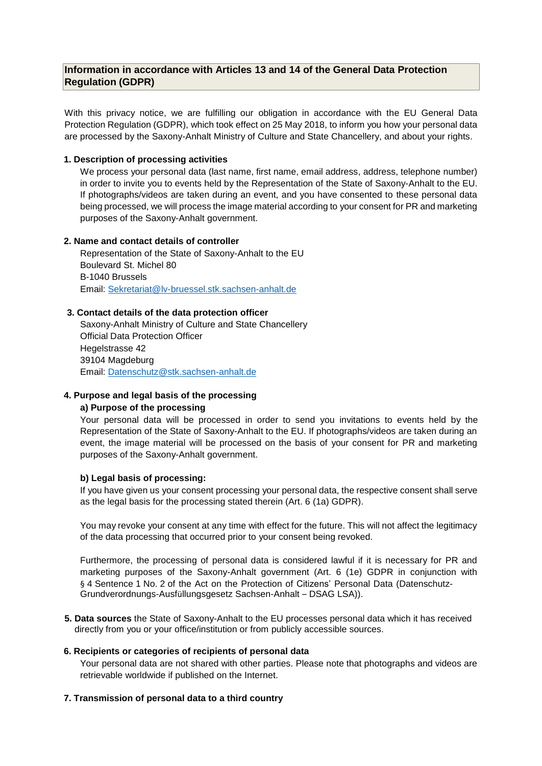# **Information in accordance with Articles 13 and 14 of the General Data Protection Regulation (GDPR)**

With this privacy notice, we are fulfilling our obligation in accordance with the EU General Data Protection Regulation (GDPR), which took effect on 25 May 2018, to inform you how your personal data are processed by the Saxony-Anhalt Ministry of Culture and State Chancellery, and about your rights.

## **1. Description of processing activities**

We process your personal data (last name, first name, email address, address, telephone number) in order to invite you to events held by the Representation of the State of Saxony-Anhalt to the EU. If photographs/videos are taken during an event, and you have consented to these personal data being processed, we will process the image material according to your consent for PR and marketing purposes of the Saxony-Anhalt government.

## **2. Name and contact details of controller**

Representation of the State of Saxony-Anhalt to the EU Boulevard St. Michel 80 B-1040 Brussels Email: [Sekretariat@lv-bruessel.stk.sachsen-anhalt.de](mailto:Sekretariat@lv-bruessel.stk.sachsen-anhalt.de)

## **3. Contact details of the data protection officer**

Saxony-Anhalt Ministry of Culture and State Chancellery Official Data Protection Officer Hegelstrasse 42 39104 Magdeburg Email: [Datenschutz@stk.sachsen-anhalt.de](mailto:Datenschutz@stk.sachsen-anhalt.de)

## **4. Purpose and legal basis of the processing**

## **a) Purpose of the processing**

Your personal data will be processed in order to send you invitations to events held by the Representation of the State of Saxony-Anhalt to the EU. If photographs/videos are taken during an event, the image material will be processed on the basis of your consent for PR and marketing purposes of the Saxony-Anhalt government.

## **b) Legal basis of processing:**

If you have given us your consent processing your personal data, the respective consent shall serve as the legal basis for the processing stated therein (Art. 6 (1a) GDPR).

You may revoke your consent at any time with effect for the future. This will not affect the legitimacy of the data processing that occurred prior to your consent being revoked.

Furthermore, the processing of personal data is considered lawful if it is necessary for PR and marketing purposes of the Saxony-Anhalt government (Art. 6 (1e) GDPR in conjunction with § 4 Sentence 1 No. 2 of the Act on the Protection of Citizens' Personal Data (Datenschutz-Grundverordnungs-Ausfüllungsgesetz Sachsen-Anhalt – DSAG LSA)).

**5. Data sources** the State of Saxony-Anhalt to the EU processes personal data which it has received directly from you or your office/institution or from publicly accessible sources.

## **6. Recipients or categories of recipients of personal data**

Your personal data are not shared with other parties. Please note that photographs and videos are retrievable worldwide if published on the Internet.

## **7. Transmission of personal data to a third country**